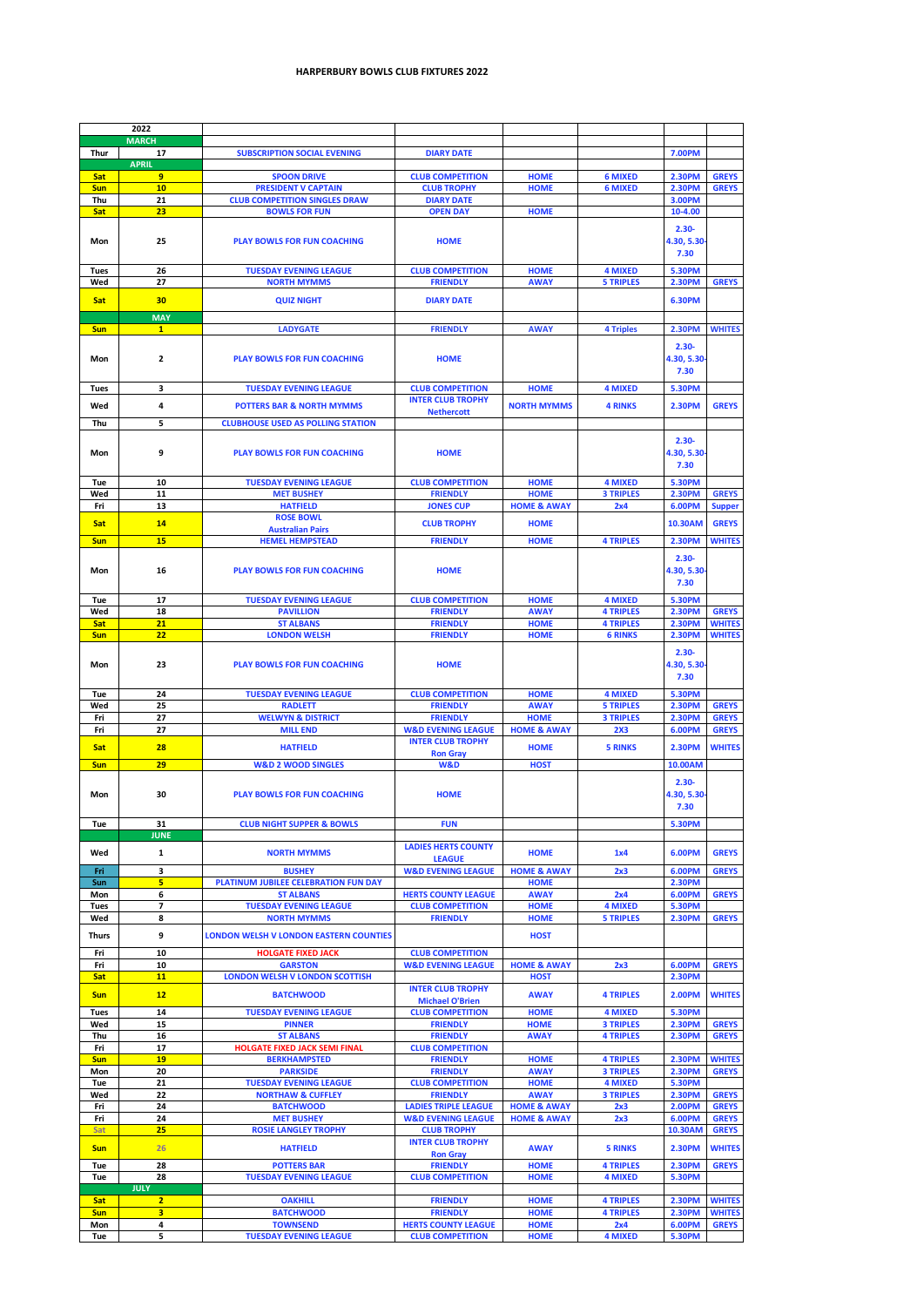|                          | 2022                                      |                                                  |                                            |                            |                                    |                                |                                |
|--------------------------|-------------------------------------------|--------------------------------------------------|--------------------------------------------|----------------------------|------------------------------------|--------------------------------|--------------------------------|
|                          | <b>MARCH</b>                              |                                                  |                                            |                            |                                    |                                |                                |
| <b>Thur</b>              | 17                                        | <b>SUBSCRIPTION SOCIAL EVENING</b>               | <b>DIARY DATE</b>                          |                            |                                    | <b>7.00PM</b>                  |                                |
| <b>Sat</b>               | <b>APRIL</b><br>9                         | <b>SPOON DRIVE</b>                               | <b>CLUB COMPETITION</b>                    | <b>HOME</b>                | <b>6 MIXED</b>                     | <b>2.30PM</b>                  | <b>GREYS</b>                   |
| <b>Sun</b>               | 10                                        | <b>PRESIDENT V CAPTAIN</b>                       | <b>CLUB TROPHY</b>                         | <b>HOME</b>                | <b>6 MIXED</b>                     | <b>2.30PM</b>                  | <b>GREYS</b>                   |
| Thu                      | 21                                        | <b>CLUB COMPETITION SINGLES DRAW</b>             | <b>DIARY DATE</b>                          |                            |                                    | <b>3.00PM</b>                  |                                |
| <b>Sat</b>               | 23                                        | <b>BOWLS FOR FUN</b>                             | <b>OPEN DAY</b>                            | <b>HOME</b>                |                                    | 10-4.00                        |                                |
|                          |                                           |                                                  |                                            |                            |                                    |                                |                                |
| Mon                      | 25                                        | <b>PLAY BOWLS FOR FUN COACHING</b>               | <b>HOME</b>                                |                            |                                    | $2.30 -$<br>4.30, 5.30         |                                |
|                          |                                           |                                                  |                                            |                            |                                    | 7.30                           |                                |
|                          |                                           |                                                  |                                            |                            |                                    |                                |                                |
| <b>Tues</b>              | 26                                        | <b>TUESDAY EVENING LEAGUE</b>                    | <b>CLUB COMPETITION</b>                    | <b>HOME</b>                | <b>4 MIXED</b>                     | <b>5.30PM</b>                  |                                |
| Wed                      | 27                                        | <b>NORTH MYMMS</b>                               | <b>FRIENDLY</b>                            | <b>AWAY</b>                | <b>5 TRIPLES</b>                   | <b>2.30PM</b>                  | <b>GREYS</b>                   |
| <b>Sat</b>               | 30                                        | <b>QUIZ NIGHT</b>                                | <b>DIARY DATE</b>                          |                            |                                    | <b>6.30PM</b>                  |                                |
|                          | <b>MAY</b>                                |                                                  |                                            |                            |                                    |                                |                                |
| <b>Sun</b>               | $\mathbf{1}$                              | <b>LADYGATE</b>                                  | <b>FRIENDLY</b>                            | <b>AWAY</b>                | <b>4 Triples</b>                   | <b>2.30PM</b>                  | <b>WHITES</b>                  |
|                          |                                           |                                                  |                                            |                            |                                    |                                |                                |
|                          |                                           |                                                  |                                            |                            |                                    | $2.30 -$                       |                                |
| Mon                      | $\overline{2}$                            | <b>PLAY BOWLS FOR FUN COACHING</b>               | <b>HOME</b>                                |                            |                                    | 4.30, 5.30                     |                                |
|                          |                                           |                                                  |                                            |                            |                                    | 7.30                           |                                |
| <b>Tues</b>              | $\mathbf{3}$                              | <b>TUESDAY EVENING LEAGUE</b>                    | <b>CLUB COMPETITION</b>                    | <b>HOME</b>                | <b>4 MIXED</b>                     | <b>5.30PM</b>                  |                                |
| Wed                      | 4                                         | <b>POTTERS BAR &amp; NORTH MYMMS</b>             | <b>INTER CLUB TROPHY</b>                   | <b>NORTH MYMMS</b>         | <b>4 RINKS</b>                     | <b>2.30PM</b>                  | <b>GREYS</b>                   |
|                          |                                           |                                                  | <b>Nethercott</b>                          |                            |                                    |                                |                                |
| Thu                      | 5 <sup>1</sup>                            | <b>CLUBHOUSE USED AS POLLING STATION</b>         |                                            |                            |                                    |                                |                                |
|                          |                                           |                                                  |                                            |                            |                                    | $2.30 -$                       |                                |
| Mon                      | 9                                         | <b>PLAY BOWLS FOR FUN COACHING</b>               | <b>HOME</b>                                |                            |                                    | 4.30, 5.30                     |                                |
|                          |                                           |                                                  |                                            |                            |                                    | 7.30                           |                                |
| Tue                      | 10                                        | <b>TUESDAY EVENING LEAGUE</b>                    | <b>CLUB COMPETITION</b>                    | <b>HOME</b>                | <b>4 MIXED</b>                     | <b>5.30PM</b>                  |                                |
| Wed                      | 11                                        | <b>MET BUSHEY</b>                                | <b>FRIENDLY</b>                            | <b>HOME</b>                | <b>3 TRIPLES</b>                   | <b>2.30PM</b>                  | <b>GREYS</b>                   |
| Fri                      | 13                                        | <b>HATFIELD</b>                                  | <b>JONES CUP</b>                           | <b>HOME &amp; AWAY</b>     | 2x4                                | <b>6.00PM</b>                  | <b>Supper</b>                  |
|                          |                                           | <b>ROSE BOWL</b>                                 |                                            |                            |                                    |                                |                                |
| <b>Sat</b>               | <b>14</b>                                 | <b>Australian Pairs</b>                          | <b>CLUB TROPHY</b>                         | <b>HOME</b>                |                                    | <b>10.30AM</b>                 | <b>GREYS</b>                   |
| <b>Sun</b>               | 15                                        | <b>HEMEL HEMPSTEAD</b>                           | <b>FRIENDLY</b>                            | <b>HOME</b>                | <b>4 TRIPLES</b>                   | <b>2.30PM</b>                  | <b>WHITES</b>                  |
|                          |                                           |                                                  |                                            |                            |                                    | $2.30 -$                       |                                |
| Mon                      | 16                                        | <b>PLAY BOWLS FOR FUN COACHING</b>               | <b>HOME</b>                                |                            |                                    | 4.30, 5.30                     |                                |
|                          |                                           |                                                  |                                            |                            |                                    | 7.30                           |                                |
|                          |                                           |                                                  |                                            |                            |                                    |                                |                                |
| Tue                      | 17                                        | <b>TUESDAY EVENING LEAGUE</b>                    | <b>CLUB COMPETITION</b>                    | <b>HOME</b>                | <b>4 MIXED</b>                     | <b>5.30PM</b>                  |                                |
| Wed                      | 18                                        | <b>PAVILLION</b>                                 | <b>FRIENDLY</b>                            | <b>AWAY</b>                | <b>4 TRIPLES</b>                   | <b>2.30PM</b>                  | <b>GREYS</b>                   |
| <b>Sat</b><br><b>Sun</b> | 21<br>22                                  | <b>ST ALBANS</b><br><b>LONDON WELSH</b>          | <b>FRIENDLY</b><br><b>FRIENDLY</b>         | <b>HOME</b><br><b>HOME</b> | <b>4 TRIPLES</b><br><b>6 RINKS</b> | <b>2.30PM</b><br><b>2.30PM</b> | <b>WHITES</b><br><b>WHITES</b> |
|                          |                                           |                                                  |                                            |                            |                                    |                                |                                |
|                          |                                           |                                                  |                                            |                            |                                    | $2.30 -$                       |                                |
| Mon                      | 23                                        | <b>PLAY BOWLS FOR FUN COACHING</b>               | <b>HOME</b>                                |                            |                                    | 4.30, 5.30                     |                                |
|                          |                                           |                                                  |                                            |                            |                                    |                                |                                |
|                          |                                           |                                                  |                                            |                            |                                    | 7.30                           |                                |
| <b>Tue</b>               | 24                                        | <b>TUESDAY EVENING LEAGUE</b>                    | <b>CLUB COMPETITION</b>                    | <b>HOME</b>                | <b>4 MIXED</b>                     | <b>5.30PM</b>                  |                                |
| Wed                      | 25                                        | <b>RADLETT</b>                                   | <b>FRIENDLY</b>                            | <b>AWAY</b>                | <b>5 TRIPLES</b>                   | <b>2.30PM</b>                  | <b>GREYS</b>                   |
| Fri                      | 27                                        | <b>WELWYN &amp; DISTRICT</b>                     | <b>FRIENDLY</b>                            | <b>HOME</b>                | <b>3 TRIPLES</b>                   | <b>2.30PM</b>                  | <b>GREYS</b>                   |
| Fri                      | 27                                        | <b>MILL END</b>                                  | <b>W&amp;D EVENING LEAGUE</b>              | <b>HOME &amp; AWAY</b>     | 2 <sub>X3</sub>                    | <b>6.00PM</b>                  | <b>GREYS</b>                   |
|                          |                                           |                                                  | <b>INTER CLUB TROPHY</b>                   |                            |                                    |                                |                                |
| <b>Sat</b>               | 28                                        | <b>HATFIELD</b>                                  | <b>Ron Gray</b>                            | <b>HOME</b>                | <b>5 RINKS</b>                     | <b>2.30PM</b>                  | <b>WHITES</b>                  |
| <b>Sun</b>               | 29                                        | <b>W&amp;D 2 WOOD SINGLES</b>                    | <b>W&amp;D</b>                             | <b>HOST</b>                |                                    | 10.00AM                        |                                |
|                          |                                           |                                                  |                                            |                            |                                    | $2.30 -$                       |                                |
| <b>Mon</b>               | 30                                        | <b>PLAY BOWLS FOR FUN COACHING</b>               | <b>HOME</b>                                |                            |                                    | 4.30, 5.30                     |                                |
|                          |                                           |                                                  |                                            |                            |                                    | 7.30                           |                                |
|                          |                                           |                                                  |                                            |                            |                                    |                                |                                |
| Tue                      | 31<br><b>JUNE</b>                         | <b>CLUB NIGHT SUPPER &amp; BOWLS</b>             | <b>FUN</b>                                 |                            |                                    | <b>5.30PM</b>                  |                                |
|                          |                                           |                                                  | <b>LADIES HERTS COUNTY</b>                 |                            |                                    |                                |                                |
| Wed                      | $\mathbf{1}$                              | <b>NORTH MYMMS</b>                               | <b>LEAGUE</b>                              | <b>HOME</b>                | 1x4                                | <b>6.00PM</b>                  | <b>GREYS</b>                   |
| Fri                      | $\overline{\mathbf{3}}$                   | <b>BUSHEY</b>                                    | <b>W&amp;D EVENING LEAGUE</b>              | <b>HOME &amp; AWAY</b>     | 2x3                                | 6.00PM                         | <b>GREYS</b>                   |
| <b>Sun</b>               | $5\overline{)}$                           | <b>PLATINUM JUBILEE CELEBRATION FUN DAY</b>      |                                            | <b>HOME</b>                |                                    | <b>2.30PM</b>                  |                                |
| Mon                      | 6                                         | <b>ST ALBANS</b>                                 | <b>HERTS COUNTY LEAGUE</b>                 | <b>AWAY</b>                | 2x4                                | 6.00PM                         | <b>GREYS</b>                   |
| <b>Tues</b>              | $\overline{\mathbf{z}}$                   | <b>TUESDAY EVENING LEAGUE</b>                    | <b>CLUB COMPETITION</b>                    | <b>HOME</b>                | <b>4 MIXED</b>                     | <b>5.30PM</b>                  |                                |
| Wed                      | 8                                         | <b>NORTH MYMMS</b>                               | <b>FRIENDLY</b>                            | <b>HOME</b>                | <b>5 TRIPLES</b>                   | <b>2.30PM</b>                  | <b>GREYS</b>                   |
| <b>Thurs</b>             | 9                                         | <b>LONDON WELSH V LONDON EASTERN COUNTIES</b>    |                                            | <b>HOST</b>                |                                    |                                |                                |
| Fri                      | 10                                        | <b>HOLGATE FIXED JACK</b>                        | <b>CLUB COMPETITION</b>                    |                            |                                    |                                |                                |
| Fri                      | 10                                        | <b>GARSTON</b>                                   | <b>W&amp;D EVENING LEAGUE</b>              | <b>HOME &amp; AWAY</b>     | 2x3                                | <b>6.00PM</b>                  | <b>GREYS</b>                   |
| <b>Sat</b>               | <b>11</b>                                 | <b>LONDON WELSH V LONDON SCOTTISH</b>            |                                            | <b>HOST</b>                |                                    | <b>2.30PM</b>                  |                                |
|                          |                                           |                                                  | <b>INTER CLUB TROPHY</b>                   |                            |                                    |                                |                                |
| <b>Sun</b>               | 12                                        | <b>BATCHWOOD</b>                                 | <b>Michael O'Brien</b>                     | <b>AWAY</b>                | <b>4 TRIPLES</b>                   | <b>2.00PM</b>                  | <b>WHITES</b>                  |
| <b>Tues</b>              | 14                                        | <b>TUESDAY EVENING LEAGUE</b>                    | <b>CLUB COMPETITION</b>                    | <b>HOME</b>                | <b>4 MIXED</b>                     | <b>5.30PM</b>                  |                                |
| Wed                      | 15                                        | <b>PINNER</b>                                    | <b>FRIENDLY</b>                            | <b>HOME</b>                | <b>3 TRIPLES</b>                   | <b>2.30PM</b>                  | <b>GREYS</b>                   |
| Thu                      | 16                                        | <b>ST ALBANS</b>                                 | <b>FRIENDLY</b>                            | <b>AWAY</b>                | <b>4 TRIPLES</b>                   | <b>2.30PM</b>                  | <b>GREYS</b>                   |
| Fri                      | 17                                        | <b>HOLGATE FIXED JACK SEMI FINAL</b>             | <b>CLUB COMPETITION</b>                    |                            |                                    |                                |                                |
| <b>Sun</b>               | <b>19</b>                                 | <b>BERKHAMPSTED</b>                              | <b>FRIENDLY</b>                            | <b>HOME</b>                | <b>4 TRIPLES</b>                   | <b>2.30PM</b>                  | <b>WHITES</b>                  |
| Mon<br>Tue               | 20<br>21                                  | <b>PARKSIDE</b><br><b>TUESDAY EVENING LEAGUE</b> | <b>FRIENDLY</b><br><b>CLUB COMPETITION</b> | <b>AWAY</b><br><b>HOME</b> | <b>3 TRIPLES</b><br><b>4 MIXED</b> | <b>2.30PM</b><br><b>5.30PM</b> | <b>GREYS</b>                   |
| Wed                      | 22                                        | <b>NORTHAW &amp; CUFFLEY</b>                     | <b>FRIENDLY</b>                            | <b>AWAY</b>                | <b>3 TRIPLES</b>                   | <b>2.30PM</b>                  | <b>GREYS</b>                   |
| Fri                      | 24                                        | <b>BATCHWOOD</b>                                 | <b>LADIES TRIPLE LEAGUE</b>                | <b>HOME &amp; AWAY</b>     | 2x3                                | <b>2.00PM</b>                  | <b>GREYS</b>                   |
| Fri                      | 24                                        | <b>MET BUSHEY</b>                                | <b>W&amp;D EVENING LEAGUE</b>              | <b>HOME &amp; AWAY</b>     | 2x3                                | 6.00PM                         | <b>GREYS</b>                   |
| Sat                      | 25                                        | <b>ROSIE LANGLEY TROPHY</b>                      | <b>CLUB TROPHY</b>                         |                            |                                    | 10.30AM                        | <b>GREYS</b>                   |
| <b>Sun</b>               | 26                                        | <b>HATFIELD</b>                                  | <b>INTER CLUB TROPHY</b>                   | <b>AWAY</b>                | <b>5 RINKS</b>                     | <b>2.30PM</b>                  | <b>WHITES</b>                  |
|                          |                                           |                                                  | <b>Ron Gray</b>                            |                            |                                    |                                |                                |
| Tue                      | 28                                        | <b>POTTERS BAR</b>                               | <b>FRIENDLY</b>                            | <b>HOME</b>                | <b>4 TRIPLES</b>                   | <b>2.30PM</b>                  | <b>GREYS</b>                   |
| <b>Tue</b>               | 28                                        | <b>TUESDAY EVENING LEAGUE</b>                    | <b>CLUB COMPETITION</b>                    | <b>HOME</b>                | <b>4 MIXED</b>                     | <b>5.30PM</b>                  |                                |
|                          | <b>JULY</b>                               |                                                  |                                            |                            |                                    |                                |                                |
| <b>Sat</b>               | $\overline{2}$<br>$\overline{\mathbf{3}}$ | <b>OAKHILL</b>                                   | <b>FRIENDLY</b><br><b>FRIENDLY</b>         | <b>HOME</b><br><b>HOME</b> | <b>4 TRIPLES</b>                   | <b>2.30PM</b>                  | <b>WHITES</b>                  |
| <b>Sun</b><br>Mon        | 4                                         | <b>BATCHWOOD</b><br><b>TOWNSEND</b>              | <b>HERTS COUNTY LEAGUE</b>                 | <b>HOME</b>                | <b>4 TRIPLES</b><br>2x4            | <b>2.30PM</b><br><b>6.00PM</b> | <b>WHITES</b><br><b>GREYS</b>  |

## **HARPERBURY BOWLS CLUB FIXTURES 2022**